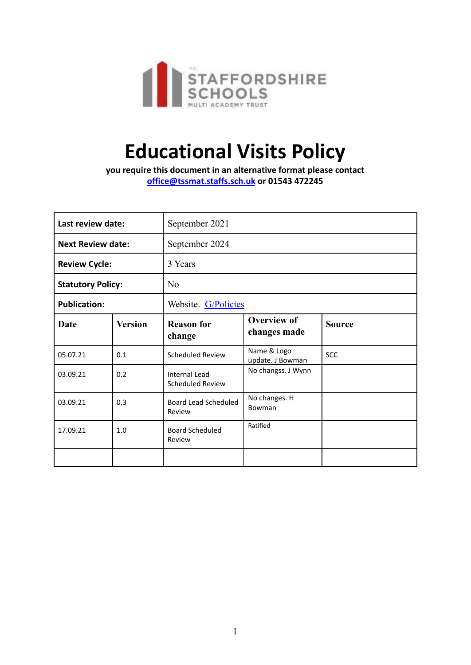

# **Educational Visits Policy**

**you require this document in an alternative format please contact office@tssmat.staffs.sch.uk or 01543 472245**

| Last review date:        |                | September 2021                                  |                                    |               |
|--------------------------|----------------|-------------------------------------------------|------------------------------------|---------------|
| <b>Next Review date:</b> |                | September 2024                                  |                                    |               |
| <b>Review Cycle:</b>     |                | 3 Years                                         |                                    |               |
| <b>Statutory Policy:</b> |                | N <sub>0</sub>                                  |                                    |               |
| <b>Publication:</b>      |                | Website. G/Policies                             |                                    |               |
| <b>Date</b>              | <b>Version</b> | <b>Reason for</b><br>change                     | <b>Overview of</b><br>changes made | <b>Source</b> |
| 05.07.21                 | 0.1            | Scheduled Review                                | Name & Logo<br>update. J Bowman    | <b>SCC</b>    |
| 03.09.21                 | 0.2            | <b>Internal Lead</b><br><b>Scheduled Review</b> | No changss. J Wynn                 |               |
| 03.09.21                 | 0.3            | Board Lead Scheduled<br>Review                  | No changes. H<br>Bowman            |               |
| 17.09.21                 | 1.0            | <b>Board Scheduled</b><br>Review                | Ratified                           |               |
|                          |                |                                                 |                                    |               |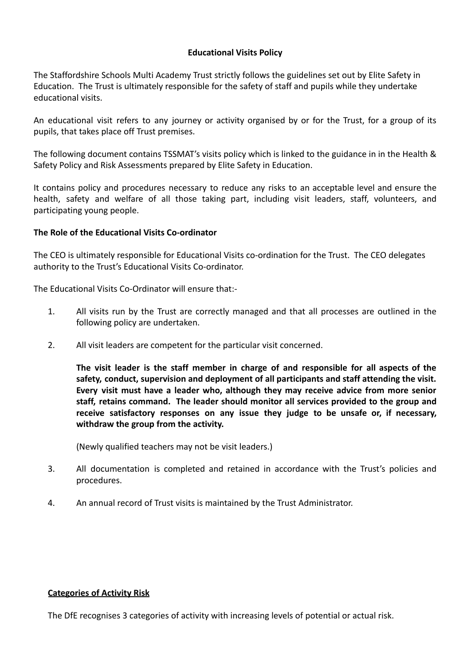## **Educational Visits Policy**

The Staffordshire Schools Multi Academy Trust strictly follows the guidelines set out by Elite Safety in Education. The Trust is ultimately responsible for the safety of staff and pupils while they undertake educational visits.

An educational visit refers to any journey or activity organised by or for the Trust, for a group of its pupils, that takes place off Trust premises.

The following document contains TSSMAT's visits policy which is linked to the guidance in in the Health & Safety Policy and Risk Assessments prepared by Elite Safety in Education.

It contains policy and procedures necessary to reduce any risks to an acceptable level and ensure the health, safety and welfare of all those taking part, including visit leaders, staff, volunteers, and participating young people.

#### **The Role of the Educational Visits Co-ordinator**

The CEO is ultimately responsible for Educational Visits co-ordination for the Trust. The CEO delegates authority to the Trust's Educational Visits Co-ordinator.

The Educational Visits Co-Ordinator will ensure that:-

- 1. All visits run by the Trust are correctly managed and that all processes are outlined in the following policy are undertaken.
- 2. All visit leaders are competent for the particular visit concerned.

**The visit leader is the staff member in charge of and responsible for all aspects of the safety, conduct, supervision and deployment of all participants and staff attending the visit. Every visit must have a leader who, although they may receive advice from more senior staff, retains command. The leader should monitor all services provided to the group and receive satisfactory responses on any issue they judge to be unsafe or, if necessary, withdraw the group from the activity.**

(Newly qualified teachers may not be visit leaders.)

- 3. All documentation is completed and retained in accordance with the Trust's policies and procedures.
- 4. An annual record of Trust visits is maintained by the Trust Administrator.

#### **Categories of Activity Risk**

The DfE recognises 3 categories of activity with increasing levels of potential or actual risk.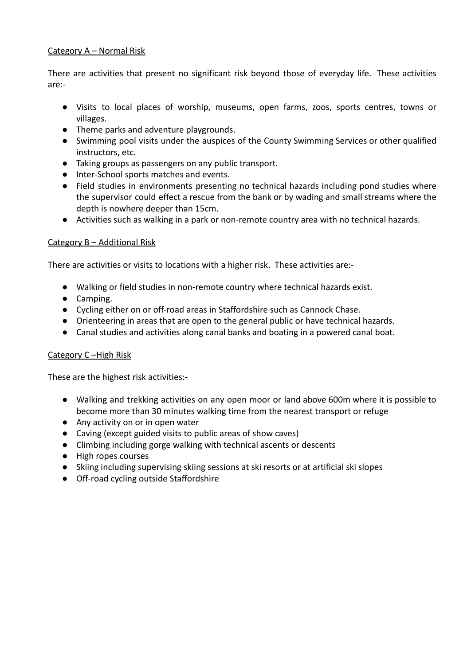## Category A – Normal Risk

There are activities that present no significant risk beyond those of everyday life. These activities are:-

- Visits to local places of worship, museums, open farms, zoos, sports centres, towns or villages.
- Theme parks and adventure playgrounds.
- Swimming pool visits under the auspices of the County Swimming Services or other qualified instructors, etc.
- Taking groups as passengers on any public transport.
- Inter-School sports matches and events.
- Field studies in environments presenting no technical hazards including pond studies where the supervisor could effect a rescue from the bank or by wading and small streams where the depth is nowhere deeper than 15cm.
- Activities such as walking in a park or non-remote country area with no technical hazards.

## Category B – Additional Risk

There are activities or visits to locations with a higher risk. These activities are:-

- Walking or field studies in non-remote country where technical hazards exist.
- Camping.
- Cycling either on or off-road areas in Staffordshire such as Cannock Chase.
- Orienteering in areas that are open to the general public or have technical hazards.
- Canal studies and activities along canal banks and boating in a powered canal boat.

#### Category C –High Risk

These are the highest risk activities:-

- Walking and trekking activities on any open moor or land above 600m where it is possible to become more than 30 minutes walking time from the nearest transport or refuge
- Any activity on or in open water
- Caving (except guided visits to public areas of show caves)
- Climbing including gorge walking with technical ascents or descents
- High ropes courses
- Skiing including supervising skiing sessions at ski resorts or at artificial ski slopes
- Off-road cycling outside Staffordshire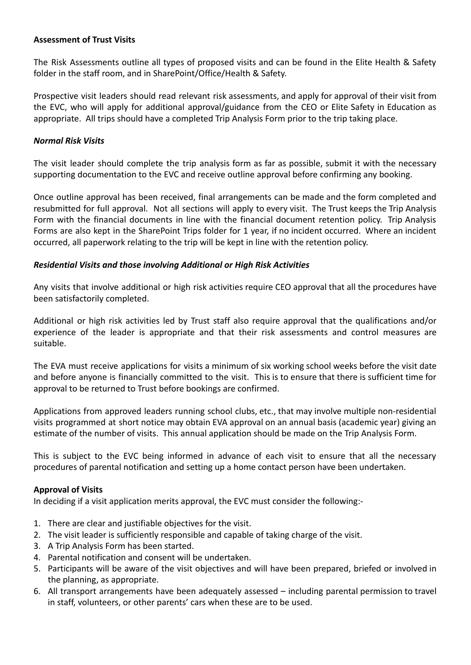### **Assessment of Trust Visits**

The Risk Assessments outline all types of proposed visits and can be found in the Elite Health & Safety folder in the staff room, and in SharePoint/Office/Health & Safety.

Prospective visit leaders should read relevant risk assessments, and apply for approval of their visit from the EVC, who will apply for additional approval/guidance from the CEO or Elite Safety in Education as appropriate. All trips should have a completed Trip Analysis Form prior to the trip taking place.

## *Normal Risk Visits*

The visit leader should complete the trip analysis form as far as possible, submit it with the necessary supporting documentation to the EVC and receive outline approval before confirming any booking.

Once outline approval has been received, final arrangements can be made and the form completed and resubmitted for full approval. Not all sections will apply to every visit. The Trust keeps the Trip Analysis Form with the financial documents in line with the financial document retention policy. Trip Analysis Forms are also kept in the SharePoint Trips folder for 1 year, if no incident occurred. Where an incident occurred, all paperwork relating to the trip will be kept in line with the retention policy.

## *Residential Visits and those involving Additional or High Risk Activities*

Any visits that involve additional or high risk activities require CEO approval that all the procedures have been satisfactorily completed.

Additional or high risk activities led by Trust staff also require approval that the qualifications and/or experience of the leader is appropriate and that their risk assessments and control measures are suitable.

The EVA must receive applications for visits a minimum of six working school weeks before the visit date and before anyone is financially committed to the visit. This is to ensure that there is sufficient time for approval to be returned to Trust before bookings are confirmed.

Applications from approved leaders running school clubs, etc., that may involve multiple non-residential visits programmed at short notice may obtain EVA approval on an annual basis (academic year) giving an estimate of the number of visits. This annual application should be made on the Trip Analysis Form.

This is subject to the EVC being informed in advance of each visit to ensure that all the necessary procedures of parental notification and setting up a home contact person have been undertaken.

## **Approval of Visits**

In deciding if a visit application merits approval, the EVC must consider the following:-

- 1. There are clear and justifiable objectives for the visit.
- 2. The visit leader is sufficiently responsible and capable of taking charge of the visit.
- 3. A Trip Analysis Form has been started.
- 4. Parental notification and consent will be undertaken.
- 5. Participants will be aware of the visit objectives and will have been prepared, briefed or involved in the planning, as appropriate.
- 6. All transport arrangements have been adequately assessed including parental permission to travel in staff, volunteers, or other parents' cars when these are to be used.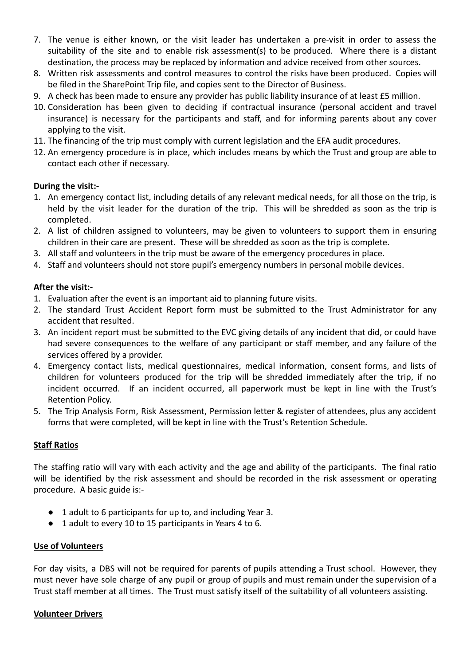- 7. The venue is either known, or the visit leader has undertaken a pre-visit in order to assess the suitability of the site and to enable risk assessment(s) to be produced. Where there is a distant destination, the process may be replaced by information and advice received from other sources.
- 8. Written risk assessments and control measures to control the risks have been produced. Copies will be filed in the SharePoint Trip file, and copies sent to the Director of Business.
- 9. A check has been made to ensure any provider has public liability insurance of at least £5 million.
- 10. Consideration has been given to deciding if contractual insurance (personal accident and travel insurance) is necessary for the participants and staff, and for informing parents about any cover applying to the visit.
- 11. The financing of the trip must comply with current legislation and the EFA audit procedures.
- 12. An emergency procedure is in place, which includes means by which the Trust and group are able to contact each other if necessary.

#### **During the visit:-**

- 1. An emergency contact list, including details of any relevant medical needs, for all those on the trip, is held by the visit leader for the duration of the trip. This will be shredded as soon as the trip is completed.
- 2. A list of children assigned to volunteers, may be given to volunteers to support them in ensuring children in their care are present. These will be shredded as soon as the trip is complete.
- 3. All staff and volunteers in the trip must be aware of the emergency procedures in place.
- 4. Staff and volunteers should not store pupil's emergency numbers in personal mobile devices.

## **After the visit:-**

- 1. Evaluation after the event is an important aid to planning future visits.
- 2. The standard Trust Accident Report form must be submitted to the Trust Administrator for any accident that resulted.
- 3. An incident report must be submitted to the EVC giving details of any incident that did, or could have had severe consequences to the welfare of any participant or staff member, and any failure of the services offered by a provider.
- 4. Emergency contact lists, medical questionnaires, medical information, consent forms, and lists of children for volunteers produced for the trip will be shredded immediately after the trip, if no incident occurred. If an incident occurred, all paperwork must be kept in line with the Trust's Retention Policy.
- 5. The Trip Analysis Form, Risk Assessment, Permission letter & register of attendees, plus any accident forms that were completed, will be kept in line with the Trust's Retention Schedule.

#### **Staff Ratios**

The staffing ratio will vary with each activity and the age and ability of the participants. The final ratio will be identified by the risk assessment and should be recorded in the risk assessment or operating procedure. A basic guide is:-

- 1 adult to 6 participants for up to, and including Year 3.
- 1 adult to every 10 to 15 participants in Years 4 to 6.

#### **Use of Volunteers**

For day visits, a DBS will not be required for parents of pupils attending a Trust school. However, they must never have sole charge of any pupil or group of pupils and must remain under the supervision of a Trust staff member at all times. The Trust must satisfy itself of the suitability of all volunteers assisting.

#### **Volunteer Drivers**